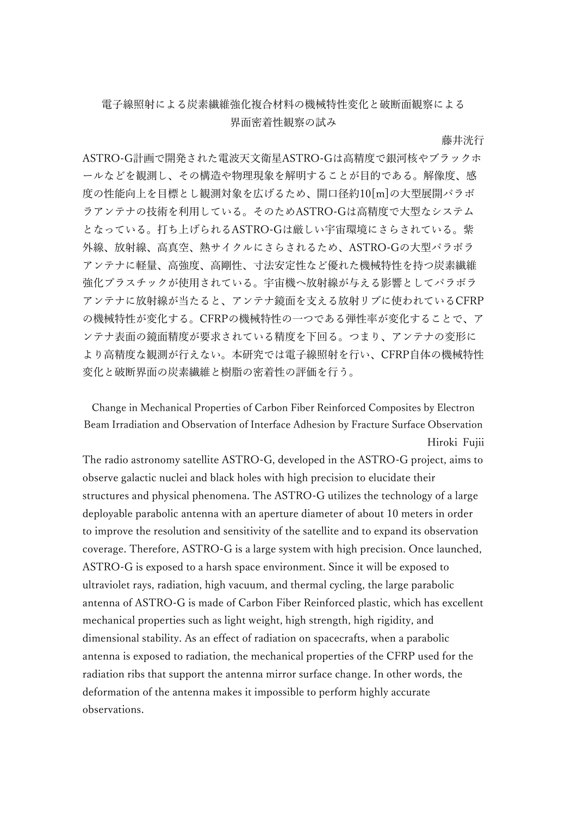## 電子線照射による炭素繊維強化複合材料の機械特性変化と破断面観察による 界面密着性観察の試み

藤井洸行

ASTRO-G計画で開発された電波天文衛星ASTRO-Gは高精度で銀河核やブラックホ ールなどを観測し、その構造や物理現象を解明することが目的である。解像度、感 度の性能向上を目標とし観測対象を広げるため、開口径約10[m]の大型展開パラボ ラアンテナの技術を利用している。そのためASTRO-Gは高精度で大型なシステム となっている。打ち上げられるASTRO-Gは厳しい宇宙環境にさらされている。紫 外線、放射線、高真空、熱サイクルにさらされるため、ASTRO-Gの大型パラボラ アンテナに軽量、高強度、高剛性、寸法安定性など優れた機械特性を持つ炭素繊維 強化プラスチックが使用されている。宇宙機へ放射線が与える影響としてパラボラ アンテナに放射線が当たると、アンテナ鏡面を支える放射リブに使われているCFRP の機械特性が変化する。CFRPの機械特性の一つである弾性率が変化することで、ア ンテナ表面の鏡面精度が要求されている精度を下回る。つまり、アンテナの変形に より高精度な観測が行えない。本研究では電子線照射を行い、CFRP自体の機械特性 変化と破断界面の炭素繊維と樹脂の密着性の評価を行う。

Change in Mechanical Properties of Carbon Fiber Reinforced Composites by Electron Beam Irradiation and Observation of Interface Adhesion by Fracture Surface Observation Hiroki Fujii

The radio astronomy satellite ASTRO-G, developed in the ASTRO-G project, aims to observe galactic nuclei and black holes with high precision to elucidate their structures and physical phenomena. The ASTRO-G utilizes the technology of a large deployable parabolic antenna with an aperture diameter of about 10 meters in order to improve the resolution and sensitivity of the satellite and to expand its observation coverage. Therefore, ASTRO-G is a large system with high precision. Once launched, ASTRO-G is exposed to a harsh space environment. Since it will be exposed to ultraviolet rays, radiation, high vacuum, and thermal cycling, the large parabolic antenna of ASTRO-G is made of Carbon Fiber Reinforced plastic, which has excellent mechanical properties such as light weight, high strength, high rigidity, and dimensional stability. As an effect of radiation on spacecrafts, when a parabolic antenna is exposed to radiation, the mechanical properties of the CFRP used for the radiation ribs that support the antenna mirror surface change. In other words, the deformation of the antenna makes it impossible to perform highly accurate observations.